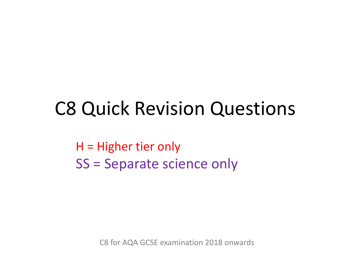# C8 Quick Revision Questions

H = Higher tier only SS = Separate science only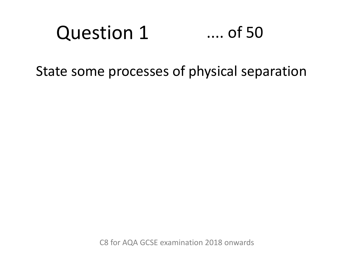#### Question 1 .... of 50

State some processes of physical separation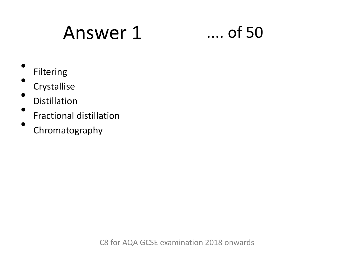# Answer 1 .... of 50

- Filtering •
	- **Crystallise**
- Distillation
- Fractional distillation
- Chromatography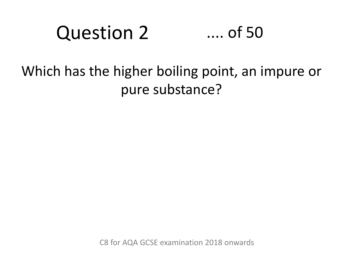### Question 2 .... of 50

### Which has the higher boiling point, an impure or pure substance?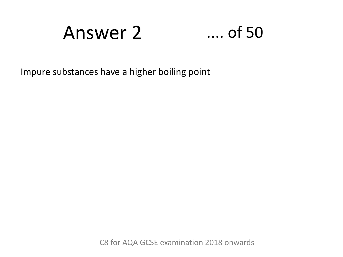# Answer 2 .... of 50

Impure substances have a higher boiling point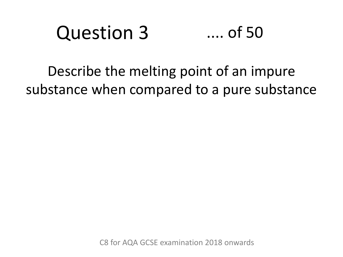### Question 3 .... of 50

Describe the melting point of an impure substance when compared to a pure substance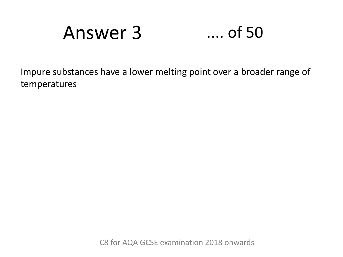# Answer 3 .... of 50

Impure substances have a lower melting point over a broader range of temperatures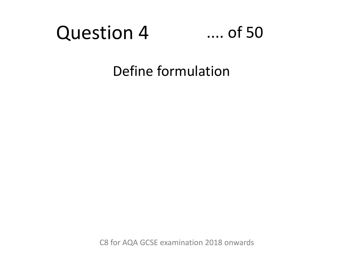



Define formulation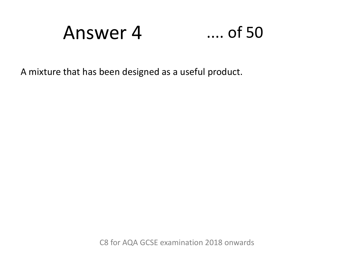Answer 4 .... of 50



A mixture that has been designed as a useful product.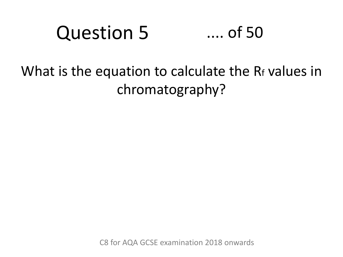### Question 5 .... of 50

## What is the equation to calculate the R<sub>f</sub> values in chromatography?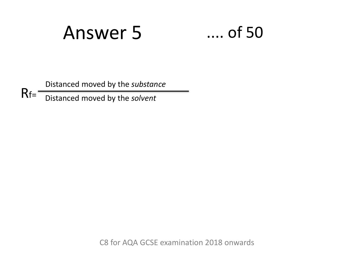# Answer 5 .... of 50

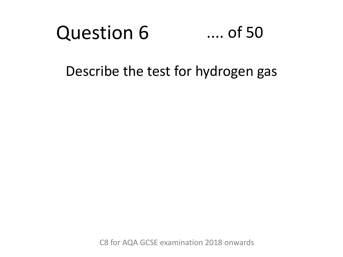#### Question 6 .... of 50

### Describe the test for hydrogen gas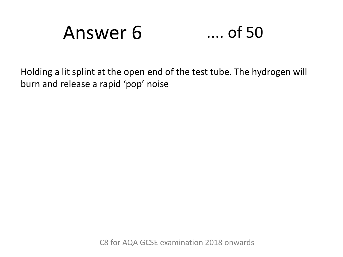# Answer 6 .... of 50

Holding a lit splint at the open end of the test tube. The hydrogen will burn and release a rapid 'pop' noise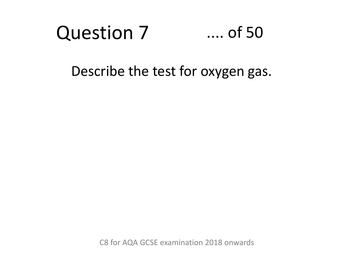#### Question 7 .... of 50

### Describe the test for oxygen gas.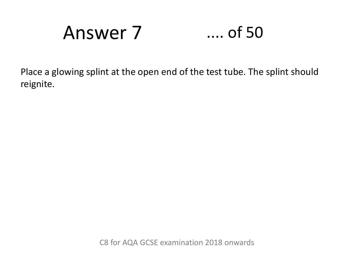Answer 7

## $\dots$  of 50

Place a glowing splint at the open end of the test tube. The splint should reignite.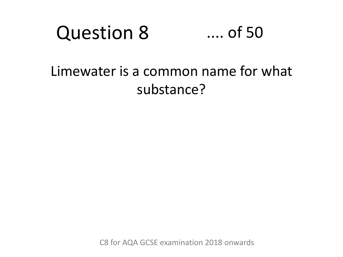#### Question 8 .... of 50

### Limewater is a common name for what substance?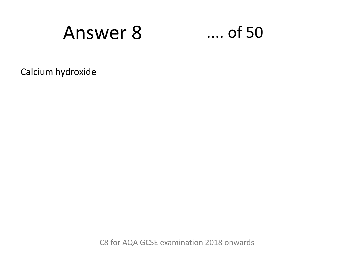# **Answer 8**

### $\dots$  of 50

Calcium hydroxide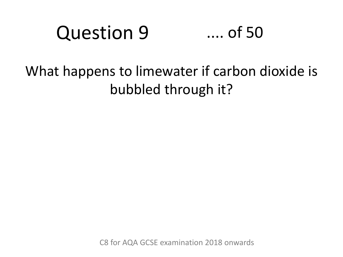### Question 9 .... of 50

## What happens to limewater if carbon dioxide is bubbled through it?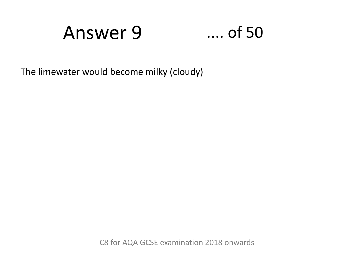# Answer 9

### $\ldots$  of 50

The limewater would become milky (cloudy)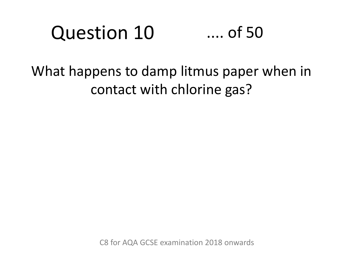### Question 10 .... of 50

### What happens to damp litmus paper when in contact with chlorine gas?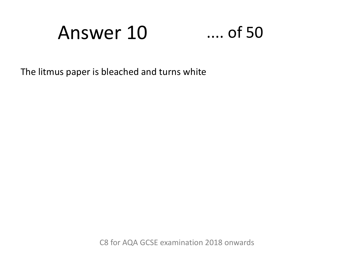# Answer 10

### $\dots$  of 50

The litmus paper is bleached and turns white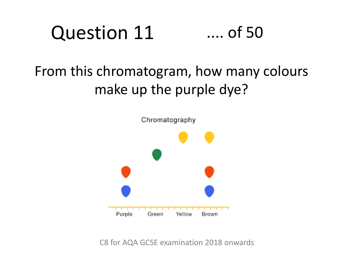### Question 11 .... of 50

## From this chromatogram, how many colours make up the purple dye?

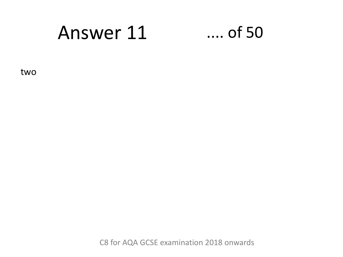#### Answer 11  $\ldots$  of 50

two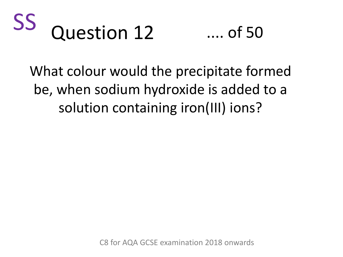



What colour would the precipitate formed be, when sodium hydroxide is added to a solution containing iron(III) ions?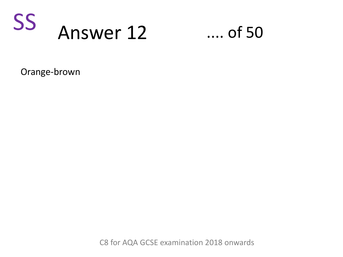



Orange-brown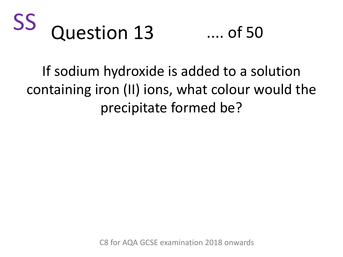



If sodium hydroxide is added to a solution containing iron (II) ions, what colour would the precipitate formed be?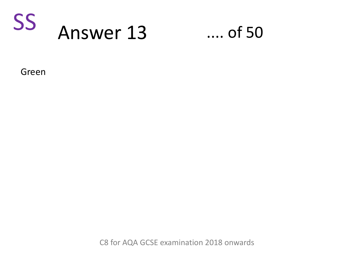

### $\ldots$  of 50

Green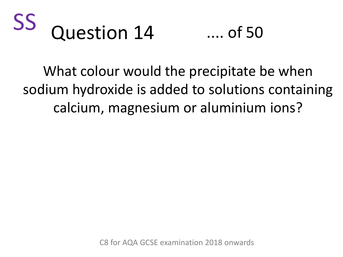



What colour would the precipitate be when sodium hydroxide is added to solutions containing calcium, magnesium or aluminium ions?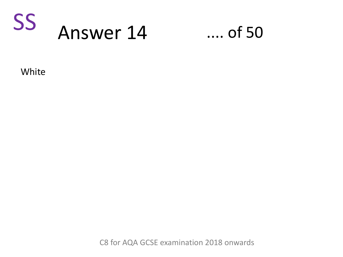

### $\ldots$  of 50

White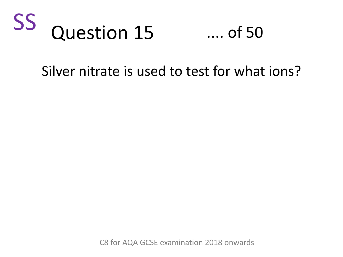

.... of 50

### Silver nitrate is used to test for what ions?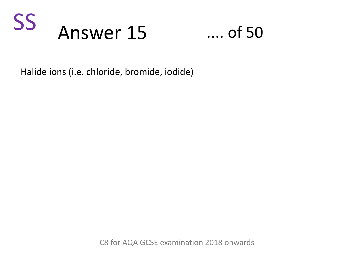



Halide ions (i.e. chloride, bromide, iodide)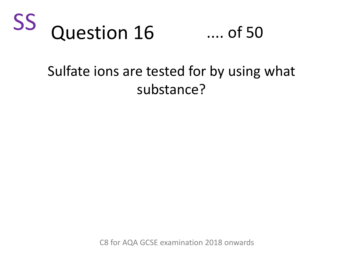



### Sulfate ions are tested for by using what substance?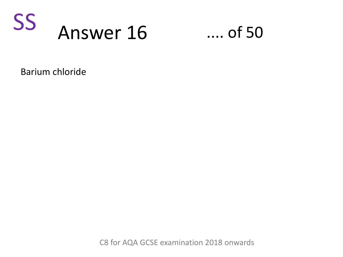

 $\ldots$  of 50

Barium chloride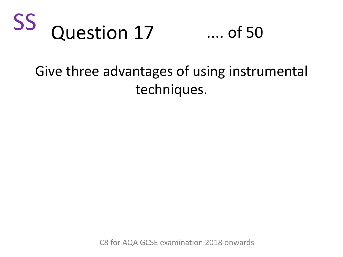



### Give three advantages of using instrumental techniques.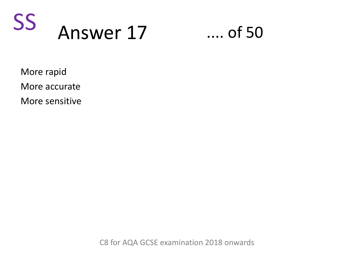



More rapid More accurate

More sensitive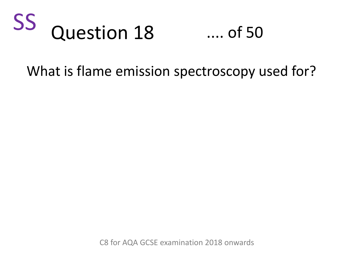

.... of 50

### What is flame emission spectroscopy used for?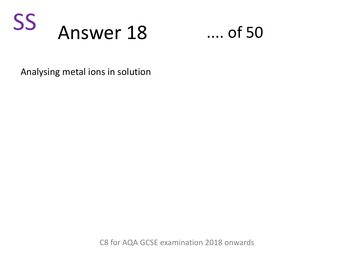



Analysing metal ions in solution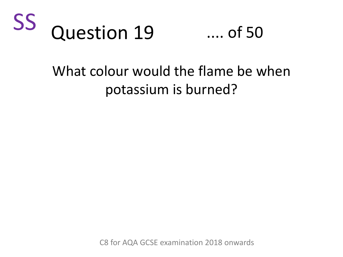



## What colour would the flame be when potassium is burned?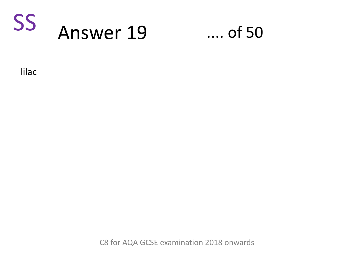

### $\ldots$  of 50

lilac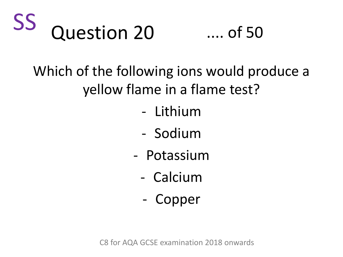



Which of the following ions would produce a yellow flame in a flame test?

- Lithium
- Sodium
- Potassium
	- Calcium
	- Copper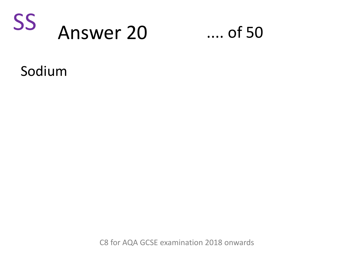

### $\ldots$  of 50

Sodium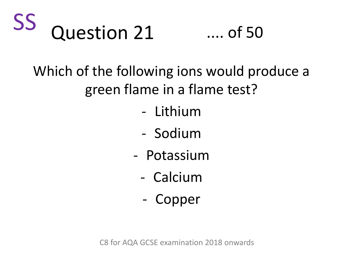



## Which of the following ions would produce a green flame in a flame test?

- Lithium
- Sodium
- Potassium
	- Calcium
	- Copper